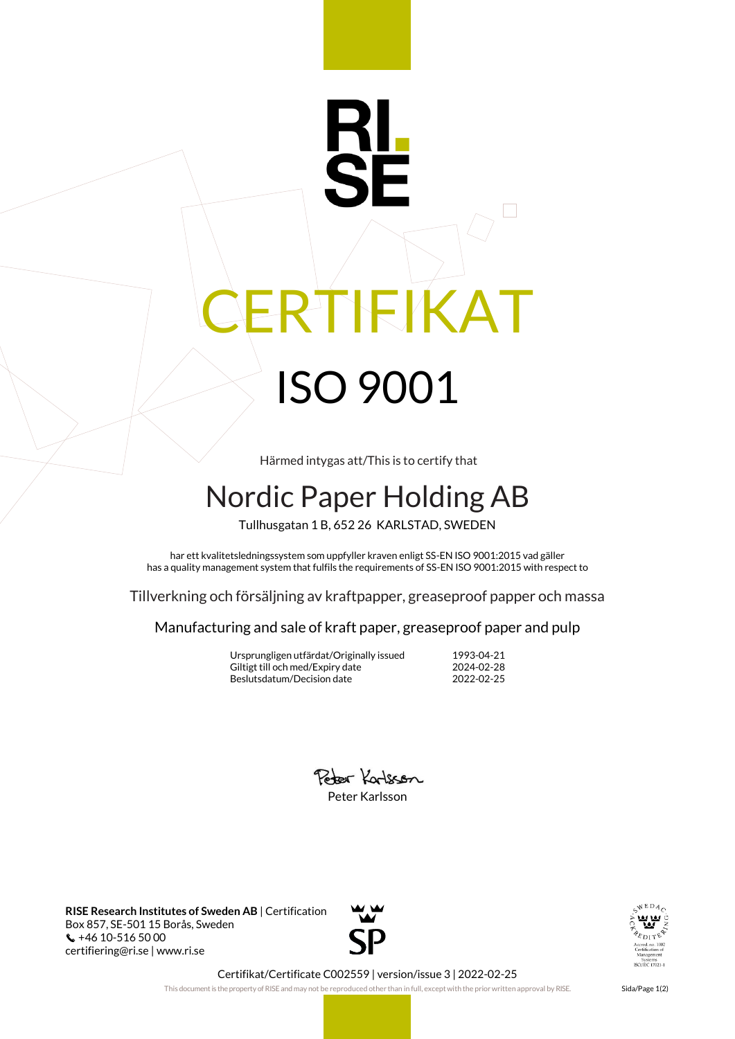## RI RTIFIKAT ISO 9001

Härmed intygas att/This is to certify that

## Nordic Paper Holding AB

Tullhusgatan 1 B, 652 26 KARLSTAD, SWEDEN

har ett kvalitetsledningssystem som uppfyller kraven enligt SS-EN ISO 9001:2015 vad gäller has a quality management system that fulfils the requirements of SS-EN ISO 9001:2015 with respect to

Tillverkning och försäljning av kraftpapper, greaseproof papper och massa

Manufacturing and sale of kraft paper, greaseproof paper and pulp

Ursprungligen utfärdat/Originally issued 1993-04-21 Giltigt till och med/Expiry date Beslutsdatum/Decision date 2022-02-25

Poter Karlscon Peter Karlsson

**RISE Research Institutes of Sweden AB** | Certification Box 857, SE-501 15 Borås, Sweden +46 10-516 50 00 certifiering@ri.se | www.ri.se





Certifikat/Certificate C002559 | version/issue 3 | 2022-02-25

This document is the property of RISE and may not be reproduced other than in full, except with the prior written approval by RISE. Sida/Page 1(2)